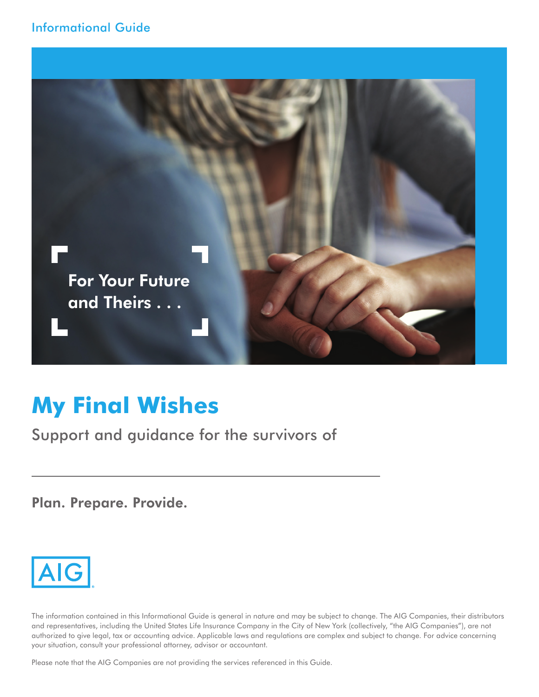

# **My Final Wishes**

Support and guidance for the survivors of

Plan. Prepare. Provide.



The information contained in this Informational Guide is general in nature and may be subject to change. The AIG Companies, their distributors and representatives, including the United States Life Insurance Company in the City of New York (collectively, "the AIG Companies"), are not authorized to give legal, tax or accounting advice. Applicable laws and regulations are complex and subject to change. For advice concerning your situation, consult your professional attorney, advisor or accountant.

Please note that the AIG Companies are not providing the services referenced in this Guide.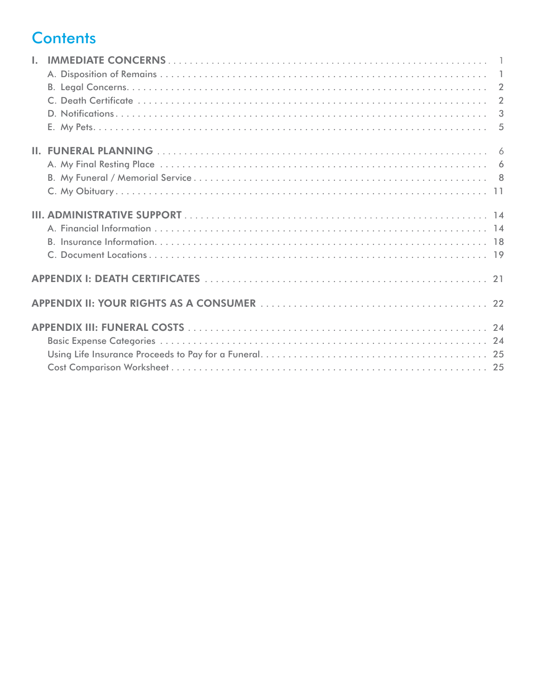## **Contents**

| $\mathbf{L}$ |  |
|--------------|--|
|              |  |
|              |  |
|              |  |
|              |  |
|              |  |
|              |  |
|              |  |
|              |  |
|              |  |
|              |  |
|              |  |
|              |  |
|              |  |
|              |  |
|              |  |
|              |  |
|              |  |
|              |  |
|              |  |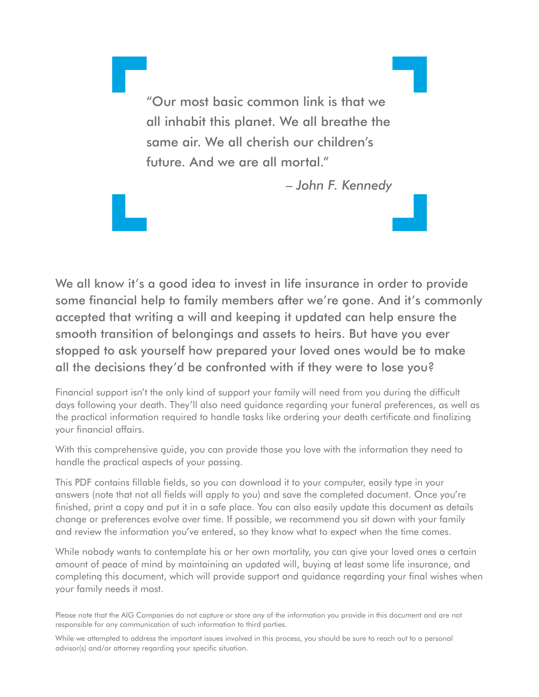"Our most basic common link is that we all inhabit this planet. We all breathe the same air. We all cherish our children's future. And we are all mortal."

– *John F. Kennedy*

We all know it's a good idea to invest in life insurance in order to provide some financial help to family members after we're gone. And it's commonly accepted that writing a will and keeping it updated can help ensure the smooth transition of belongings and assets to heirs. But have you ever stopped to ask yourself how prepared your loved ones would be to make all the decisions they'd be confronted with if they were to lose you?

Financial support isn't the only kind of support your family will need from you during the difficult days following your death. They'll also need guidance regarding your funeral preferences, as well as the practical information required to handle tasks like ordering your death certificate and finalizing your financial affairs.

With this comprehensive guide, you can provide those you love with the information they need to handle the practical aspects of your passing.

This PDF contains fillable fields, so you can download it to your computer, easily type in your answers (note that not all fields will apply to you) and save the completed document. Once you're finished, print a copy and put it in a safe place. You can also easily update this document as details change or preferences evolve over time. If possible, we recommend you sit down with your family and review the information you've entered, so they know what to expect when the time comes.

While nobody wants to contemplate his or her own mortality, you can give your loved ones a certain amount of peace of mind by maintaining an updated will, buying at least some life insurance, and completing this document, which will provide support and guidance regarding your final wishes when your family needs it most.

Please note that the AIG Companies do not capture or store any of the information you provide in this document and are not responsible for any communication of such information to third parties.

While we attempted to address the important issues involved in this process, you should be sure to reach out to a personal advisor(s) and/or attorney regarding your specific situation.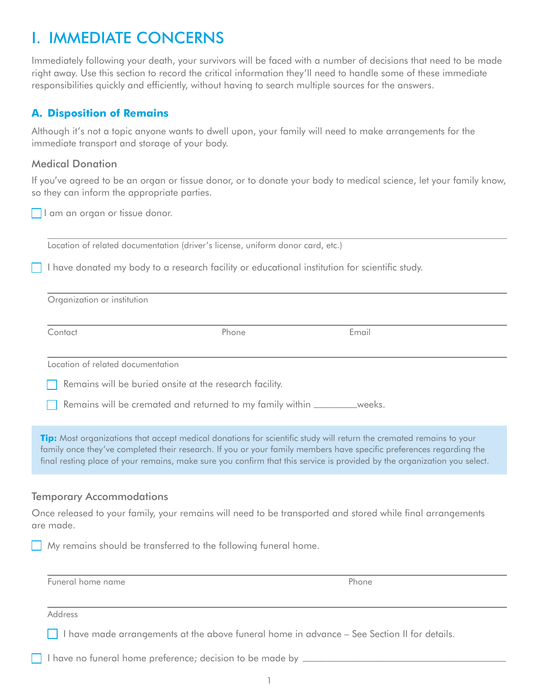## <span id="page-3-1"></span><span id="page-3-0"></span>I. IMMEDIATE CONCERNS

Immediately following your death, your survivors will be faced with a number of decisions that need to be made right away. Use this section to record the critical information they'll need to handle some of these immediate responsibilities quickly and efficiently, without having to search multiple sources for the answers.

### **A. Disposition of Remains**

Although it's not a topic anyone wants to dwell upon, your family will need to make arrangements for the immediate transport and storage of your body.

### Medical Donation

If you've agreed to be an organ or tissue donor, or to donate your body to medical science, let your family know, so they can inform the appropriate parties.

I am an organ or tissue donor.

Location of related documentation (driver's license, uniform donor card, etc.)

I have donated my body to a research facility or educational institution for scientific study.

| Organization or institution       |                                                                            |                                                                                                                                                                                                                                                                                                                                                                        |
|-----------------------------------|----------------------------------------------------------------------------|------------------------------------------------------------------------------------------------------------------------------------------------------------------------------------------------------------------------------------------------------------------------------------------------------------------------------------------------------------------------|
| Contact                           | Phone                                                                      | Email                                                                                                                                                                                                                                                                                                                                                                  |
| Location of related documentation |                                                                            |                                                                                                                                                                                                                                                                                                                                                                        |
|                                   | Remains will be buried onsite at the research facility.                    |                                                                                                                                                                                                                                                                                                                                                                        |
|                                   | Remains will be cremated and returned to my family within __________weeks. |                                                                                                                                                                                                                                                                                                                                                                        |
|                                   |                                                                            | Tip: Most organizations that accept medical donations for scientific study will return the cremated remains to your<br>family once they've completed their research. If you or your family members have specific preferences regarding the<br>final resting place of your remains, make sure you confirm that this service is provided by the organization you select. |
| <b>Temporary Accommodations</b>   |                                                                            |                                                                                                                                                                                                                                                                                                                                                                        |
| are made.                         |                                                                            | Once released to your family, your remains will need to be transported and stored while final arrangements                                                                                                                                                                                                                                                             |
|                                   | My remains should be transferred to the following funeral home.            |                                                                                                                                                                                                                                                                                                                                                                        |
| Funeral home name                 |                                                                            | Phone                                                                                                                                                                                                                                                                                                                                                                  |

Address

I have made arrangements at the above funeral home in advance - See Section II for details.

I have no funeral home preference; decision to be made by  $\Box$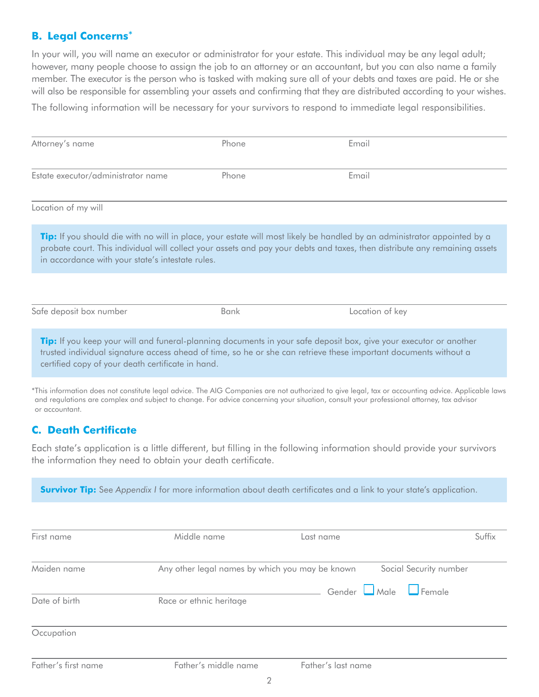## <span id="page-4-0"></span>**B. Legal Concerns**\*

In your will, you will name an executor or administrator for your estate. This individual may be any legal adult; however, many people choose to assign the job to an attorney or an accountant, but you can also name a family member. The executor is the person who is tasked with making sure all of your debts and taxes are paid. He or she will also be responsible for assembling your assets and confirming that they are distributed according to your wishes.

The following information will be necessary for your survivors to respond to immediate legal responsibilities.

| Attorney's name                                   | Phone                                                                                                                                                                                                                                                                                         | Email     |                                                                                                                                                                                                                                                        |  |
|---------------------------------------------------|-----------------------------------------------------------------------------------------------------------------------------------------------------------------------------------------------------------------------------------------------------------------------------------------------|-----------|--------------------------------------------------------------------------------------------------------------------------------------------------------------------------------------------------------------------------------------------------------|--|
| Estate executor/administrator name                | Phone                                                                                                                                                                                                                                                                                         | Email     |                                                                                                                                                                                                                                                        |  |
| Location of my will                               |                                                                                                                                                                                                                                                                                               |           |                                                                                                                                                                                                                                                        |  |
| in accordance with your state's intestate rules.  |                                                                                                                                                                                                                                                                                               |           | Tip: If you should die with no will in place, your estate will most likely be handled by an administrator appointed by a<br>probate court. This individual will collect your assets and pay your debts and taxes, then distribute any remaining assets |  |
|                                                   |                                                                                                                                                                                                                                                                                               |           |                                                                                                                                                                                                                                                        |  |
| Safe deposit box number                           | Bank                                                                                                                                                                                                                                                                                          |           | Location of key                                                                                                                                                                                                                                        |  |
| certified copy of your death certificate in hand. | Tip: If you keep your will and funeral-planning documents in your safe deposit box, give your executor or another<br>trusted individual signature access ahead of time, so he or she can retrieve these important documents without a                                                         |           |                                                                                                                                                                                                                                                        |  |
| or accountant.                                    | *This information does not constitute legal advice. The AIG Companies are not authorized to give legal, tax or accounting advice. Applicable laws<br>and regulations are complex and subject to change. For advice concerning your situation, consult your professional attorney, tax advisor |           |                                                                                                                                                                                                                                                        |  |
| <b>C. Death Certificate</b>                       |                                                                                                                                                                                                                                                                                               |           |                                                                                                                                                                                                                                                        |  |
|                                                   | the information they need to obtain your death certificate.                                                                                                                                                                                                                                   |           | Each state's application is a little different, but filling in the following information should provide your survivors                                                                                                                                 |  |
|                                                   | <b>Survivor Tip:</b> See Appendix I for more information about death certificates and a link to your state's application.                                                                                                                                                                     |           |                                                                                                                                                                                                                                                        |  |
| First name                                        | Middle name                                                                                                                                                                                                                                                                                   | Last name | Suffix                                                                                                                                                                                                                                                 |  |
| Maiden name                                       | Any other legal names by which you may be known                                                                                                                                                                                                                                               |           | Social Security number                                                                                                                                                                                                                                 |  |
| Date of birth                                     | Race or ethnic heritage                                                                                                                                                                                                                                                                       | Gender    | $\Box$ Female<br>Male                                                                                                                                                                                                                                  |  |

#### **Occupation**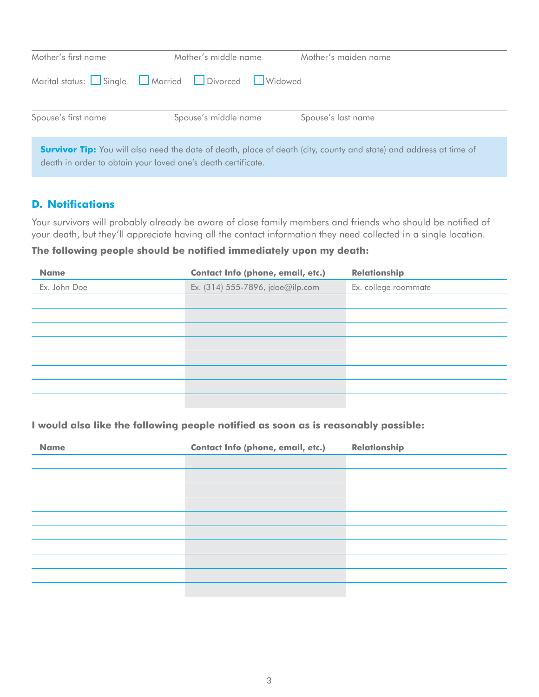<span id="page-5-0"></span>

| Mother's first name | Mother's middle name                                         | Mother's maiden name                                                                                                      |
|---------------------|--------------------------------------------------------------|---------------------------------------------------------------------------------------------------------------------------|
|                     | Marital status: Single Married Divorced UWidowed             |                                                                                                                           |
| Spouse's first name | Spouse's middle name                                         | Spouse's last name                                                                                                        |
|                     | death in order to obtain your loved one's death certificate. | <b>Survivor Tip:</b> You will also need the date of death, place of death (city, county and state) and address at time of |

## **D. Notifications**

Your survivors will probably already be aware of close family members and friends who should be notified of your death, but they'll appreciate having all the contact information they need collected in a single location.

## **The following people should be notified immediately upon my death:**

| <b>Name</b>  | <b>Contact Info (phone, email, etc.)</b> | <b>Relationship</b>  |
|--------------|------------------------------------------|----------------------|
| Ex. John Doe | Ex. (314) 555-7896, jdoe@ilp.com         | Ex. college roommate |
|              |                                          |                      |
|              |                                          |                      |
|              |                                          |                      |
|              |                                          |                      |
|              |                                          |                      |
|              |                                          |                      |
|              |                                          |                      |
|              |                                          |                      |

### **I would also like the following people notified as soon as is reasonably possible:**

| <b>Name</b> | Contact Info (phone, email, etc.) | Relationship |
|-------------|-----------------------------------|--------------|
|             |                                   |              |
|             |                                   |              |
|             |                                   |              |
|             |                                   |              |
|             |                                   |              |
|             |                                   |              |
|             |                                   |              |
|             |                                   |              |
|             |                                   |              |
|             |                                   |              |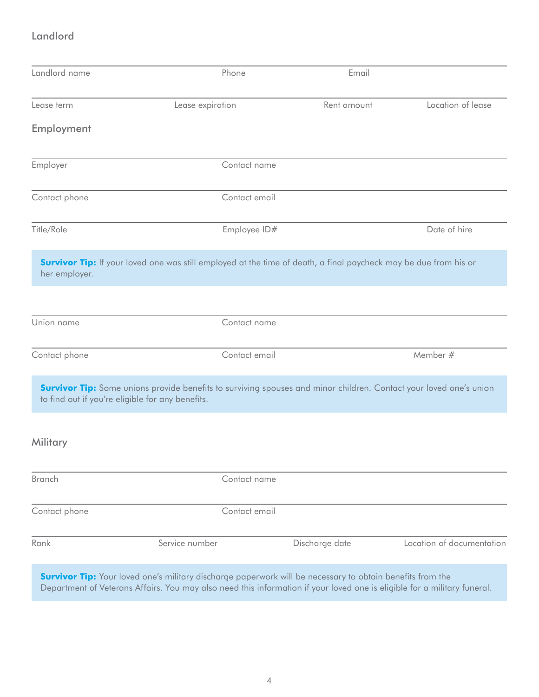## Landlord

| Landlord name | Phone                                                                                                                                                                                                                                        | Email          |                           |
|---------------|----------------------------------------------------------------------------------------------------------------------------------------------------------------------------------------------------------------------------------------------|----------------|---------------------------|
| Lease term    | Lease expiration                                                                                                                                                                                                                             | Rent amount    | Location of lease         |
| Employment    |                                                                                                                                                                                                                                              |                |                           |
| Employer      | Contact name                                                                                                                                                                                                                                 |                |                           |
| Contact phone | Contact email                                                                                                                                                                                                                                |                |                           |
| Title/Role    | Employee ID#                                                                                                                                                                                                                                 |                | Date of hire              |
| her employer. | <b>Survivor Tip:</b> If your loved one was still employed at the time of death, a final paycheck may be due from his or                                                                                                                      |                |                           |
| Union name    | Contact name                                                                                                                                                                                                                                 |                |                           |
| Contact phone | Contact email                                                                                                                                                                                                                                |                | Member #                  |
|               | <b>Survivor Tip:</b> Some unions provide benefits to surviving spouses and minor children. Contact your loved one's union<br>to find out if you're eligible for any benefits.                                                                |                |                           |
| Military      |                                                                                                                                                                                                                                              |                |                           |
| Branch        | Contact name                                                                                                                                                                                                                                 |                |                           |
| Contact phone | Contact email                                                                                                                                                                                                                                |                |                           |
| Rank          | Service number                                                                                                                                                                                                                               | Discharge date | Location of documentation |
|               | <b>Survivor Tip:</b> Your loved one's military discharge paperwork will be necessary to obtain benefits from the<br>Department of Veterans Affairs. You may also need this information if your loved one is eligible for a military funeral. |                |                           |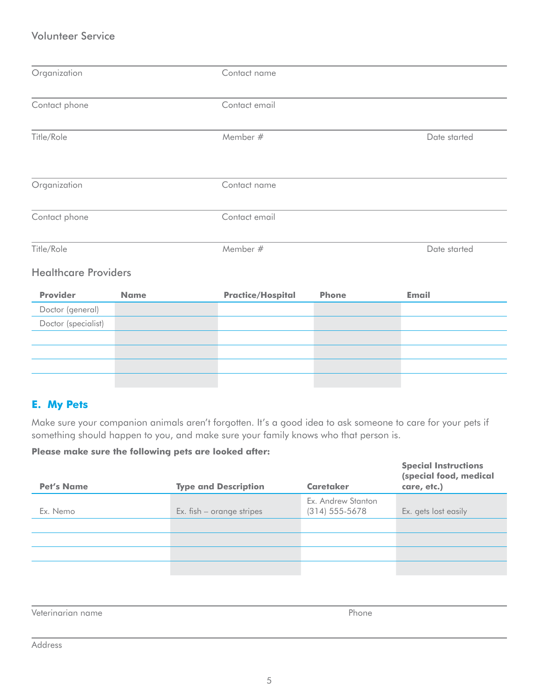## <span id="page-7-0"></span>Volunteer Service

| Organization                |             | Contact name             |              |              |  |  |
|-----------------------------|-------------|--------------------------|--------------|--------------|--|--|
| Contact phone               |             | Contact email            |              |              |  |  |
| Title/Role                  |             | Member #                 |              | Date started |  |  |
| Organization                |             | Contact name             |              |              |  |  |
| Contact phone               |             | Contact email            |              |              |  |  |
| Title/Role                  |             | Member #                 |              | Date started |  |  |
| <b>Healthcare Providers</b> |             |                          |              |              |  |  |
| <b>Provider</b>             | <b>Name</b> | <b>Practice/Hospital</b> | <b>Phone</b> | <b>Email</b> |  |  |
| Doctor (general)            |             |                          |              |              |  |  |
| Doctor (specialist)         |             |                          |              |              |  |  |
|                             |             |                          |              |              |  |  |
|                             |             |                          |              |              |  |  |
|                             |             |                          |              |              |  |  |
|                             |             |                          |              |              |  |  |

## **E. My Pets**

Make sure your companion animals aren't forgotten. It's a good idea to ask someone to care for your pets if something should happen to you, and make sure your family knows who that person is.

#### **Please make sure the following pets are looked after:**

| <b>Pet's Name</b> | <b>Type and Description</b> | <b>Caretaker</b>                         | <b>Special Instructions</b><br>(special food, medical<br>care, etc.) |
|-------------------|-----------------------------|------------------------------------------|----------------------------------------------------------------------|
| Ex. Nemo          | Ex. fish - orange stripes   | Ex. Andrew Stanton<br>$(314) 555 - 5678$ | Ex. gets lost easily                                                 |
|                   |                             |                                          |                                                                      |
|                   |                             |                                          |                                                                      |
|                   |                             |                                          |                                                                      |
|                   |                             |                                          |                                                                      |

Veterinarian name Phone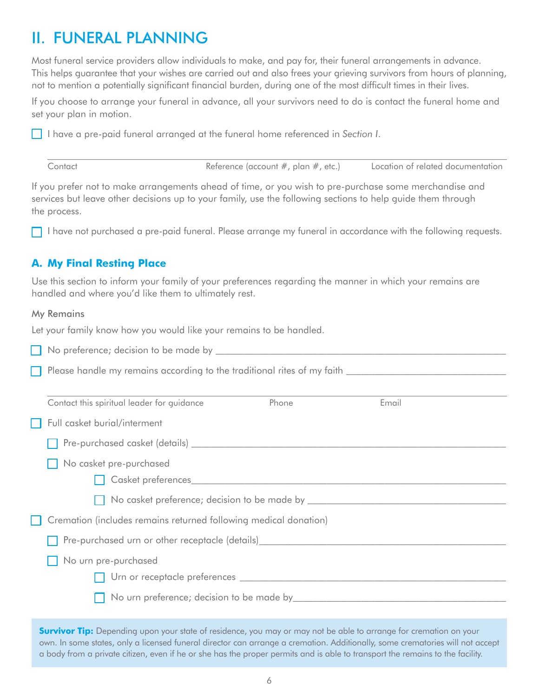## <span id="page-8-0"></span>II. FUNERAL PLANNING

Most funeral service providers allow individuals to make, and pay for, their funeral arrangements in advance. This helps guarantee that your wishes are carried out and also frees your grieving survivors from hours of planning, not to mention a potentially significant financial burden, during one of the most difficult times in their lives.

If you choose to arrange your funeral in advance, all your survivors need to do is contact the funeral home and set your plan in motion.

I have a pre-paid funeral arranged at the funeral home referenced in *Section I*.

| Contact | Reference (account $#$ , plan $#$ , etc.) | Location of related documentation |
|---------|-------------------------------------------|-----------------------------------|
|---------|-------------------------------------------|-----------------------------------|

If you prefer not to make arrangements ahead of time, or you wish to pre-purchase some merchandise and services but leave other decisions up to your family, use the following sections to help guide them through the process.

I have not purchased a pre-paid funeral. Please arrange my funeral in accordance with the following requests.

## **A. My Final Resting Place**

Use this section to inform your family of your preferences regarding the manner in which your remains are handled and where you'd like them to ultimately rest.

#### My Remains

Let your family know how you would like your remains to be handled.

 $\Box$  No preference; decision to be made by  $\Box$ 

| Please handle my remains according to the traditional rites of my faith |  |
|-------------------------------------------------------------------------|--|
|                                                                         |  |

| Contact this spiritual leader for guidance                                                                                                                                                                                     | Phone | Email |
|--------------------------------------------------------------------------------------------------------------------------------------------------------------------------------------------------------------------------------|-------|-------|
| Full casket burial/interment                                                                                                                                                                                                   |       |       |
|                                                                                                                                                                                                                                |       |       |
| No casket pre-purchased                                                                                                                                                                                                        |       |       |
| Casket preferences experiences and the contract of the contract of the contract of the contract of the contract of the contract of the contract of the contract of the contract of the contract of the contract of the contrac |       |       |
|                                                                                                                                                                                                                                |       |       |
| Cremation (includes remains returned following medical donation)                                                                                                                                                               |       |       |
| Pre-purchased urn or other receptacle (details)_________________________________                                                                                                                                               |       |       |
| No urn pre-purchased                                                                                                                                                                                                           |       |       |
|                                                                                                                                                                                                                                |       |       |
|                                                                                                                                                                                                                                |       |       |
| <b>Survivor Tip:</b> Depending upon your state of residence, you may or may not be able to arrange for cremation on your                                                                                                       |       |       |

**Survivor Tip:** Depending upon your state of residence, you may or may not be able to arrange for cremation on your own. In some states, only a licensed funeral director can arrange a cremation. Additionally, some crematories will not accept a body from a private citizen, even if he or she has the proper permits and is able to transport the remains to the facility.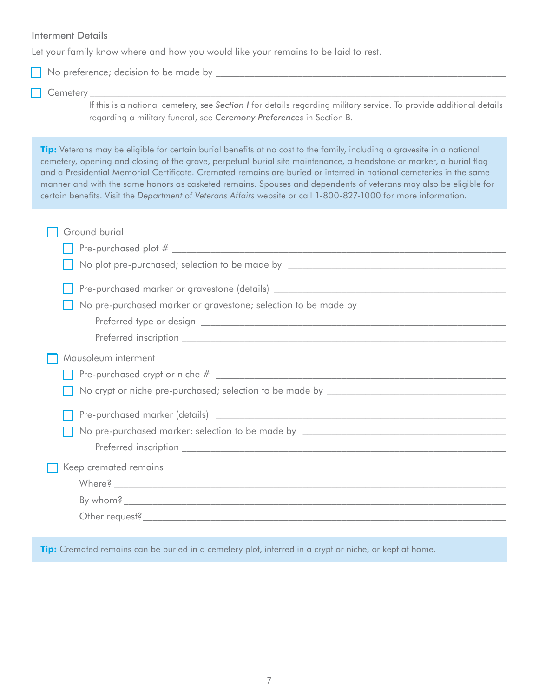#### Interment Details

Let your family know where and how you would like your remains to be laid to rest.

No preference; decision to be made by \_\_\_\_\_\_\_\_\_\_\_\_\_\_\_\_\_\_\_\_\_\_\_\_\_\_\_\_\_\_\_\_\_\_\_\_\_\_\_\_\_\_\_\_\_\_\_\_\_\_\_\_\_\_\_\_\_\_\_\_

#### Cemetery \_\_\_\_\_\_\_\_\_\_\_\_\_\_\_\_\_\_\_\_\_\_\_\_\_\_\_\_\_\_\_\_\_\_\_\_\_\_\_\_\_\_\_\_\_\_\_\_\_\_\_\_\_\_\_\_\_\_\_\_\_\_\_\_\_\_\_\_\_\_\_\_\_\_\_\_\_\_\_\_\_\_\_\_\_\_

 If this is a national cemetery, see *Section I* for details regarding military service. To provide additional details regarding a military funeral, see *Ceremony Preferences* in Section B.

**Tip:** Veterans may be eligible for certain burial benefits at no cost to the family, including a gravesite in a national cemetery, opening and closing of the grave, perpetual burial site maintenance, a headstone or marker, a burial flag and a Presidential Memorial Certificate. Cremated remains are buried or interred in national cemeteries in the same manner and with the same honors as casketed remains. Spouses and dependents of veterans may also be eligible for certain benefits. Visit the *Department of Veterans Affairs* website or call 1-800-827-1000 for more information.

| Ground burial                                                                                                                                                                                                                 |
|-------------------------------------------------------------------------------------------------------------------------------------------------------------------------------------------------------------------------------|
| $\blacksquare$ Pre-purchased plot $\#$ $\blacksquare$                                                                                                                                                                         |
|                                                                                                                                                                                                                               |
|                                                                                                                                                                                                                               |
|                                                                                                                                                                                                                               |
|                                                                                                                                                                                                                               |
|                                                                                                                                                                                                                               |
| Mausoleum interment                                                                                                                                                                                                           |
|                                                                                                                                                                                                                               |
|                                                                                                                                                                                                                               |
|                                                                                                                                                                                                                               |
|                                                                                                                                                                                                                               |
|                                                                                                                                                                                                                               |
| Keep cremated remains                                                                                                                                                                                                         |
| Where? Note that the contract of the contract of the contract of the contract of the contract of the contract of the contract of the contract of the contract of the contract of the contract of the contract of the contract |
|                                                                                                                                                                                                                               |
|                                                                                                                                                                                                                               |
|                                                                                                                                                                                                                               |

**Tip:** Cremated remains can be buried in a cemetery plot, interred in a crypt or niche, or kept at home.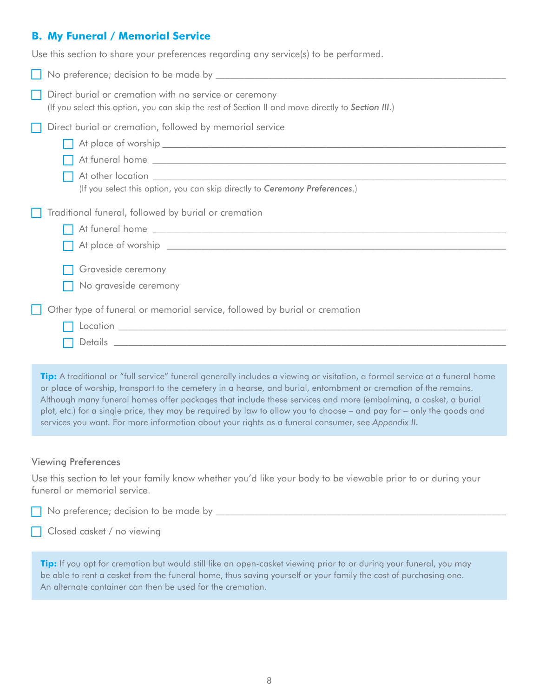## <span id="page-10-0"></span>**B. My Funeral / Memorial Service**

Use this section to share your preferences regarding any service(s) to be performed.

| No preference; decision to be made by the contract of the contract of the contract of the contract of the contract of the contract of the contract of the contract of the contract of the contract of the contract of the cont |
|--------------------------------------------------------------------------------------------------------------------------------------------------------------------------------------------------------------------------------|
| Direct burial or cremation with no service or ceremony<br>(If you select this option, you can skip the rest of Section II and move directly to Section III.)                                                                   |
| Direct burial or cremation, followed by memorial service<br>(If you select this option, you can skip directly to Ceremony Preferences.)                                                                                        |
| Traditional funeral, followed by burial or cremation<br>Graveside ceremony<br>No graveside ceremony                                                                                                                            |
| Other type of funeral or memorial service, followed by burial or cremation                                                                                                                                                     |

**Tip:** A traditional or "full service" funeral generally includes a viewing or visitation, a formal service at a funeral home or place of worship, transport to the cemetery in a hearse, and burial, entombment or cremation of the remains. Although many funeral homes offer packages that include these services and more (embalming, a casket, a burial plot, etc.) for a single price, they may be required by law to allow you to choose – and pay for – only the goods and services you want. For more information about your rights as a funeral consumer, see *Appendix II*.

#### Viewing Preferences

Use this section to let your family know whether you'd like your body to be viewable prior to or during your funeral or memorial service.

|  | $\Box$ No preference; decision to be made by |  |
|--|----------------------------------------------|--|
|  |                                              |  |

**Closed casket** / no viewing

**Tip:** If you opt for cremation but would still like an open-casket viewing prior to or during your funeral, you may be able to rent a casket from the funeral home, thus saving yourself or your family the cost of purchasing one. An alternate container can then be used for the cremation.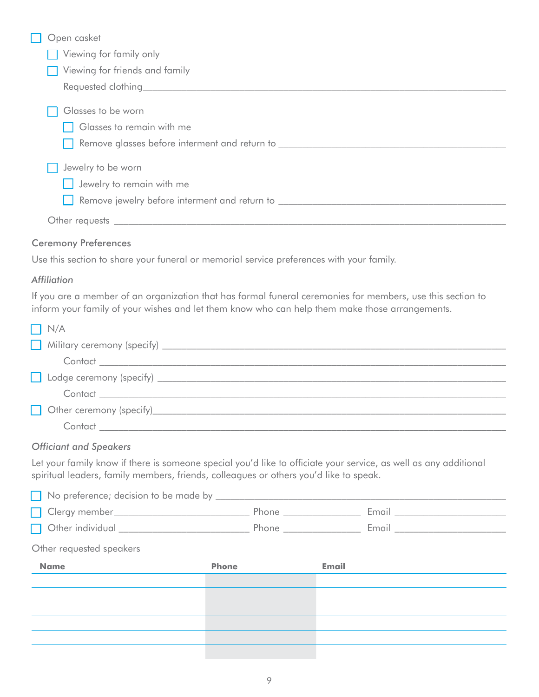| Open casket                                                                      |
|----------------------------------------------------------------------------------|
| Viewing for family only                                                          |
| Viewing for friends and family                                                   |
|                                                                                  |
| Glasses to be worn                                                               |
| Glasses to remain with me                                                        |
| Remove glasses before interment and return to __________________________________ |
| Jewelry to be worn                                                               |
| Jewelry to remain with me                                                        |
| Remove jewelry before interment and return to ________                           |
| Other requests _                                                                 |

#### Ceremony Preferences

Use this section to share your funeral or memorial service preferences with your family.

#### *Affiliation*

If you are a member of an organization that has formal funeral ceremonies for members, use this section to inform your family of your wishes and let them know who can help them make those arrangements.

| $\Box$ N/A                                         |
|----------------------------------------------------|
| Military ceremony (specify)                        |
|                                                    |
| Lodge ceremony (specify) _________________________ |
|                                                    |
| Other ceremony (specify)___________                |
| Contact                                            |

#### *Officiant and Speakers*

Let your family know if there is someone special you'd like to officiate your service, as well as any additional spiritual leaders, family members, friends, colleagues or others you'd like to speak.

| Other requested speakers |              |  |       |  |  |  |
|--------------------------|--------------|--|-------|--|--|--|
| <b>Name</b>              | <b>Phone</b> |  | Email |  |  |  |
|                          |              |  |       |  |  |  |
|                          |              |  |       |  |  |  |
|                          |              |  |       |  |  |  |
|                          |              |  |       |  |  |  |
|                          |              |  |       |  |  |  |
|                          |              |  |       |  |  |  |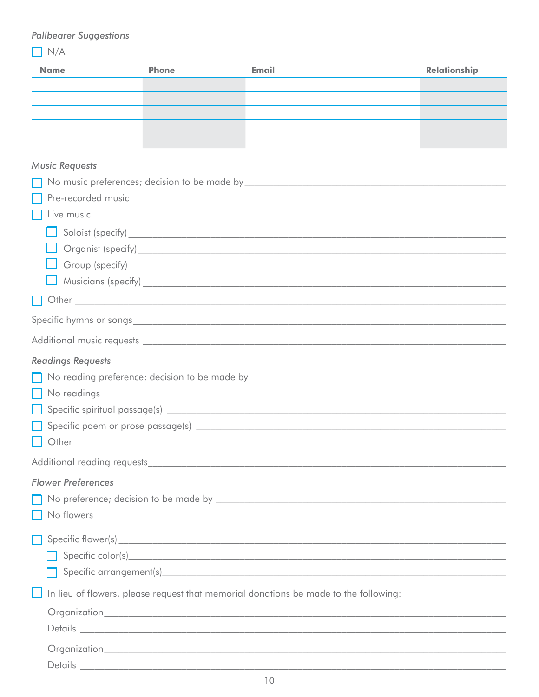## **Pallbearer Suggestions**

 $\boxed{\phantom{1}}$  N/A

| <b>Name</b>               | <b>Phone</b> | Email                                                                                                                                                                                                                          | <b>Relationship</b> |
|---------------------------|--------------|--------------------------------------------------------------------------------------------------------------------------------------------------------------------------------------------------------------------------------|---------------------|
|                           |              |                                                                                                                                                                                                                                |                     |
|                           |              |                                                                                                                                                                                                                                |                     |
|                           |              |                                                                                                                                                                                                                                |                     |
|                           |              |                                                                                                                                                                                                                                |                     |
| <b>Music Requests</b>     |              |                                                                                                                                                                                                                                |                     |
|                           |              |                                                                                                                                                                                                                                |                     |
| Pre-recorded music        |              |                                                                                                                                                                                                                                |                     |
| Live music                |              |                                                                                                                                                                                                                                |                     |
|                           |              | $\Box$ Soloist (specify) $\Box$                                                                                                                                                                                                |                     |
|                           |              |                                                                                                                                                                                                                                |                     |
|                           |              |                                                                                                                                                                                                                                |                     |
|                           |              |                                                                                                                                                                                                                                |                     |
| . .                       |              | Other contains the containing of the containing of the containing of the containing of the containing of the containing of the containing of the containing of the containing of the containing of the containing of the conta |                     |
|                           |              |                                                                                                                                                                                                                                |                     |
|                           |              |                                                                                                                                                                                                                                |                     |
| <b>Readings Requests</b>  |              |                                                                                                                                                                                                                                |                     |
|                           |              |                                                                                                                                                                                                                                |                     |
| No readings               |              |                                                                                                                                                                                                                                |                     |
|                           |              |                                                                                                                                                                                                                                |                     |
|                           |              |                                                                                                                                                                                                                                |                     |
|                           |              |                                                                                                                                                                                                                                |                     |
|                           |              |                                                                                                                                                                                                                                |                     |
| <b>Flower Preferences</b> |              |                                                                                                                                                                                                                                |                     |
|                           |              |                                                                                                                                                                                                                                |                     |
| No flowers                |              |                                                                                                                                                                                                                                |                     |
|                           |              |                                                                                                                                                                                                                                |                     |
|                           |              |                                                                                                                                                                                                                                |                     |
|                           |              |                                                                                                                                                                                                                                |                     |
|                           |              | In lieu of flowers, please request that memorial donations be made to the following:                                                                                                                                           |                     |
|                           |              |                                                                                                                                                                                                                                |                     |
|                           |              |                                                                                                                                                                                                                                |                     |
|                           |              |                                                                                                                                                                                                                                |                     |
|                           |              |                                                                                                                                                                                                                                |                     |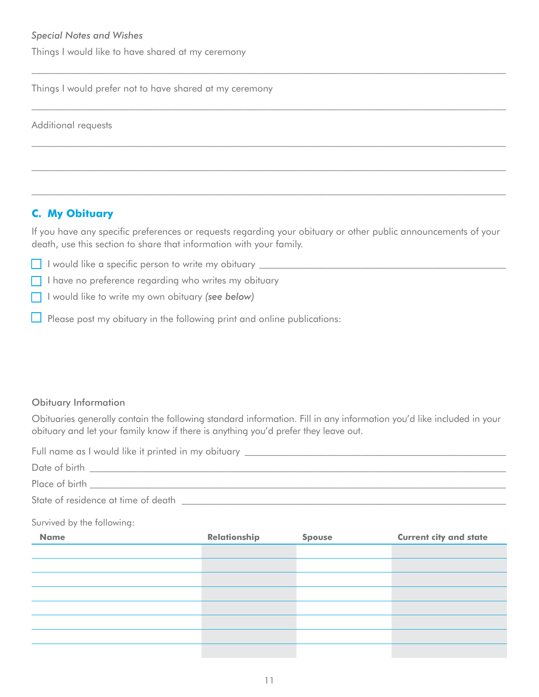<span id="page-13-0"></span>Things I would like to have shared at my ceremony

Things I would prefer not to have shared at my ceremony

Additional requests

## **C. My Obituary**

If you have any specific preferences or requests regarding your obituary or other public announcements of your death, use this section to share that information with your family.

I would like a specific person to write my obituary **with a set of the set of the set of the set of the set of the set of the set of the set of the set of the set of the set of the set of the set of the set of the set of t** 

- $\Box$  I have no preference regarding who writes my obituary
- I would like to write my own obituary *(see below)*
- Please post my obituary in the following print and online publications:

### Obituary Information

Obituaries generally contain the following standard information. Fill in any information you'd like included in your obituary and let your family know if there is anything you'd prefer they leave out.

Full name as I would like it printed in my obituary \_\_\_\_\_\_\_\_\_\_\_\_\_\_\_\_\_\_\_\_\_\_\_\_\_\_\_\_

| Date of birth                       |  |
|-------------------------------------|--|
| Place of birth                      |  |
| State of residence at time of death |  |

#### Survived by the following:

| <b>Name</b> | Relationship | <b>Spouse</b> | <b>Current city and state</b> |
|-------------|--------------|---------------|-------------------------------|
|             |              |               |                               |
|             |              |               |                               |
|             |              |               |                               |
|             |              |               |                               |
|             |              |               |                               |
|             |              |               |                               |
|             |              |               |                               |
|             |              |               |                               |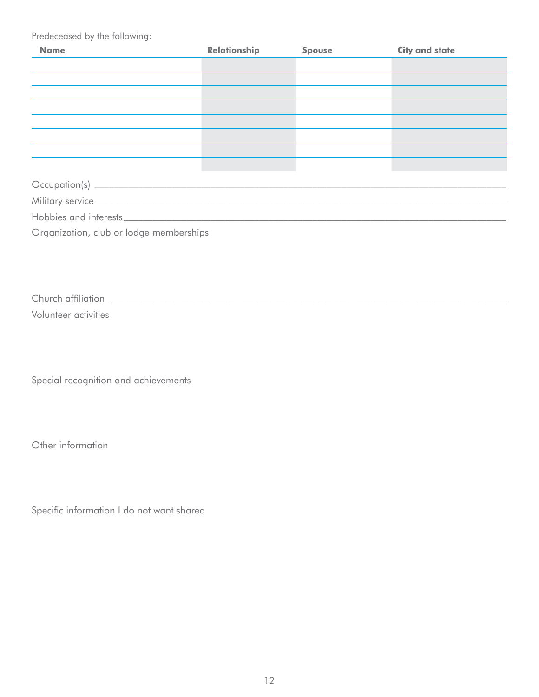Predeceased by the following:

| <b>Name</b>                             | <b>Relationship</b> | <b>Spouse</b> | <b>City and state</b> |  |  |  |
|-----------------------------------------|---------------------|---------------|-----------------------|--|--|--|
|                                         |                     |               |                       |  |  |  |
|                                         |                     |               |                       |  |  |  |
|                                         |                     |               |                       |  |  |  |
|                                         |                     |               |                       |  |  |  |
|                                         |                     |               |                       |  |  |  |
|                                         |                     |               |                       |  |  |  |
|                                         |                     |               |                       |  |  |  |
|                                         |                     |               |                       |  |  |  |
|                                         |                     |               |                       |  |  |  |
|                                         |                     |               |                       |  |  |  |
|                                         |                     |               |                       |  |  |  |
| Organization, club or lodge memberships |                     |               |                       |  |  |  |

Church affiliation \_\_\_\_\_\_\_\_\_\_\_\_\_\_\_\_\_\_\_\_\_\_\_\_\_\_\_\_\_\_\_\_\_\_\_\_\_\_\_\_\_\_\_\_\_\_\_\_\_\_\_\_\_\_\_\_\_\_\_\_\_\_\_\_\_\_\_\_\_\_\_\_\_\_\_\_\_\_\_\_\_\_

Volunteer activities

Special recognition and achievements

Other information

Specific information I do not want shared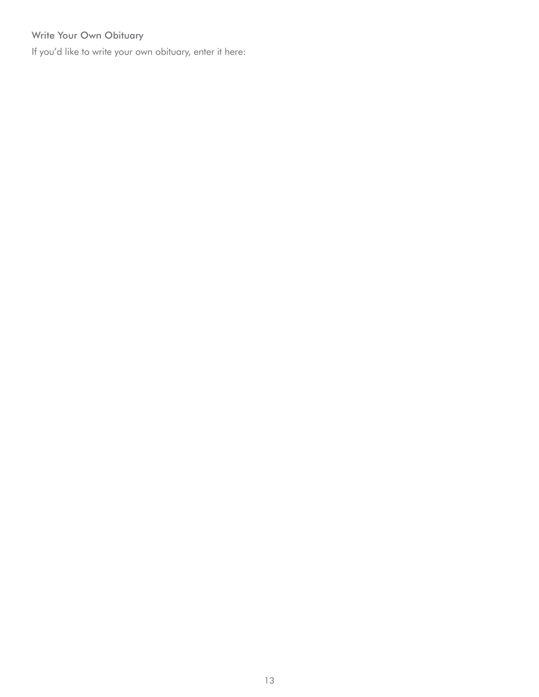## Write Your Own Obituary

If you'd like to write your own obituary, enter it here: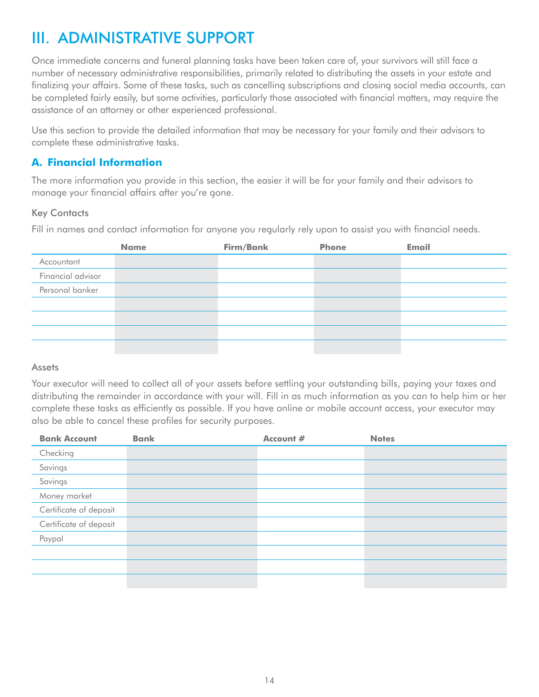## <span id="page-16-0"></span>III. ADMINISTRATIVE SUPPORT

Once immediate concerns and funeral planning tasks have been taken care of, your survivors will still face a number of necessary administrative responsibilities, primarily related to distributing the assets in your estate and finalizing your affairs. Some of these tasks, such as cancelling subscriptions and closing social media accounts, can be completed fairly easily, but some activities, particularly those associated with financial matters, may require the assistance of an attorney or other experienced professional.

Use this section to provide the detailed information that may be necessary for your family and their advisors to complete these administrative tasks.

## **A. Financial Information**

The more information you provide in this section, the easier it will be for your family and their advisors to manage your financial affairs after you're gone.

### Key Contacts

Fill in names and contact information for anyone you regularly rely upon to assist you with financial needs.

|                   | <b>Name</b> | Firm/Bank | <b>Phone</b> | <b>Email</b> |
|-------------------|-------------|-----------|--------------|--------------|
| Accountant        |             |           |              |              |
| Financial advisor |             |           |              |              |
| Personal banker   |             |           |              |              |
|                   |             |           |              |              |
|                   |             |           |              |              |
|                   |             |           |              |              |
|                   |             |           |              |              |

#### **Assets**

Your executor will need to collect all of your assets before settling your outstanding bills, paying your taxes and distributing the remainder in accordance with your will. Fill in as much information as you can to help him or her complete these tasks as efficiently as possible. If you have online or mobile account access, your executor may also be able to cancel these profiles for security purposes.

| <b>Bank Account</b>    | <b>Bank</b> | Account # | <b>Notes</b> |
|------------------------|-------------|-----------|--------------|
| Checking               |             |           |              |
| Savings                |             |           |              |
| Savings                |             |           |              |
| Money market           |             |           |              |
| Certificate of deposit |             |           |              |
| Certificate of deposit |             |           |              |
| Paypal                 |             |           |              |
|                        |             |           |              |
|                        |             |           |              |
|                        |             |           |              |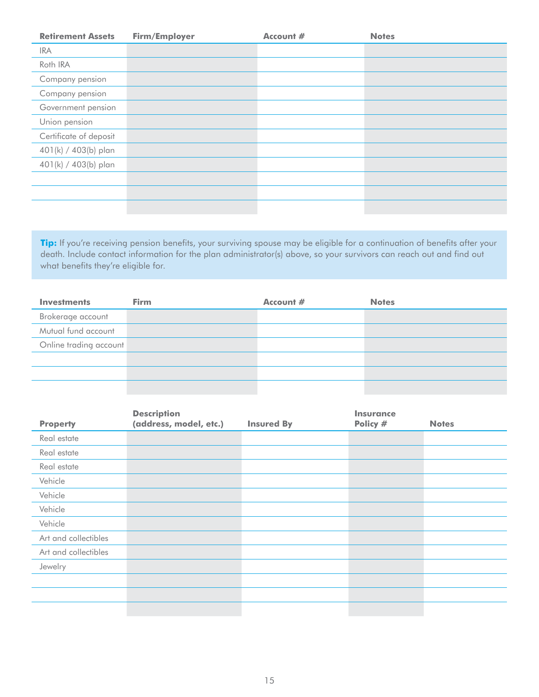| <b>Retirement Assets</b> | Firm/Employer | Account # | <b>Notes</b> |
|--------------------------|---------------|-----------|--------------|
| <b>IRA</b>               |               |           |              |
| Roth IRA                 |               |           |              |
| Company pension          |               |           |              |
| Company pension          |               |           |              |
| Government pension       |               |           |              |
| Union pension            |               |           |              |
| Certificate of deposit   |               |           |              |
| 401(k) / 403(b) plan     |               |           |              |
| 401(k) / 403(b) plan     |               |           |              |
|                          |               |           |              |
|                          |               |           |              |
|                          |               |           |              |

Tip: If you're receiving pension benefits, your surviving spouse may be eligible for a continuation of benefits after your death. Include contact information for the plan administrator(s) above, so your survivors can reach out and find out what benefits they're eligible for.

| <b>Investments</b>     | <b>Firm</b> | Account # | <b>Notes</b> |
|------------------------|-------------|-----------|--------------|
| Brokerage account      |             |           |              |
| Mutual fund account    |             |           |              |
| Online trading account |             |           |              |
|                        |             |           |              |
|                        |             |           |              |
|                        |             |           |              |

|                      | <b>Description</b>     |                   | <b>Insurance</b> |              |
|----------------------|------------------------|-------------------|------------------|--------------|
| <b>Property</b>      | (address, model, etc.) | <b>Insured By</b> | Policy #         | <b>Notes</b> |
| Real estate          |                        |                   |                  |              |
| Real estate          |                        |                   |                  |              |
| Real estate          |                        |                   |                  |              |
| Vehicle              |                        |                   |                  |              |
| Vehicle              |                        |                   |                  |              |
| Vehicle              |                        |                   |                  |              |
| Vehicle              |                        |                   |                  |              |
| Art and collectibles |                        |                   |                  |              |
| Art and collectibles |                        |                   |                  |              |
| Jewelry              |                        |                   |                  |              |
|                      |                        |                   |                  |              |
|                      |                        |                   |                  |              |
|                      |                        |                   |                  |              |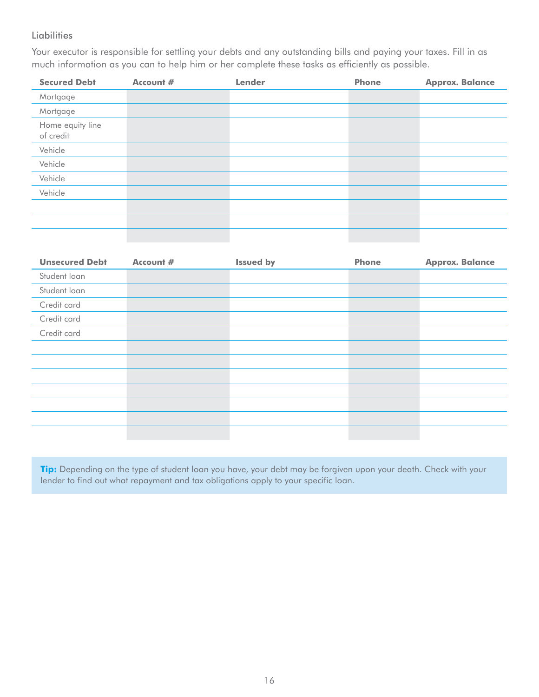#### **Liabilities**

Your executor is responsible for settling your debts and any outstanding bills and paying your taxes. Fill in as much information as you can to help him or her complete these tasks as efficiently as possible.

| <b>Secured Debt</b>           | Account # | <b>Lender</b> | <b>Phone</b> | <b>Approx. Balance</b> |
|-------------------------------|-----------|---------------|--------------|------------------------|
| Mortgage                      |           |               |              |                        |
| Mortgage                      |           |               |              |                        |
| Home equity line<br>of credit |           |               |              |                        |
| Vehicle                       |           |               |              |                        |
| Vehicle                       |           |               |              |                        |
| Vehicle                       |           |               |              |                        |
| Vehicle                       |           |               |              |                        |
|                               |           |               |              |                        |
|                               |           |               |              |                        |
|                               |           |               |              |                        |

| <b>Unsecured Debt</b> | Account # | <b>Issued by</b> | <b>Phone</b> | <b>Approx. Balance</b> |
|-----------------------|-----------|------------------|--------------|------------------------|
| Student loan          |           |                  |              |                        |
| Student loan          |           |                  |              |                        |
| Credit card           |           |                  |              |                        |
| Credit card           |           |                  |              |                        |
| Credit card           |           |                  |              |                        |
|                       |           |                  |              |                        |
|                       |           |                  |              |                        |
|                       |           |                  |              |                        |
|                       |           |                  |              |                        |
|                       |           |                  |              |                        |
|                       |           |                  |              |                        |
|                       |           |                  |              |                        |

**Tip:** Depending on the type of student loan you have, your debt may be forgiven upon your death. Check with your lender to find out what repayment and tax obligations apply to your specific loan.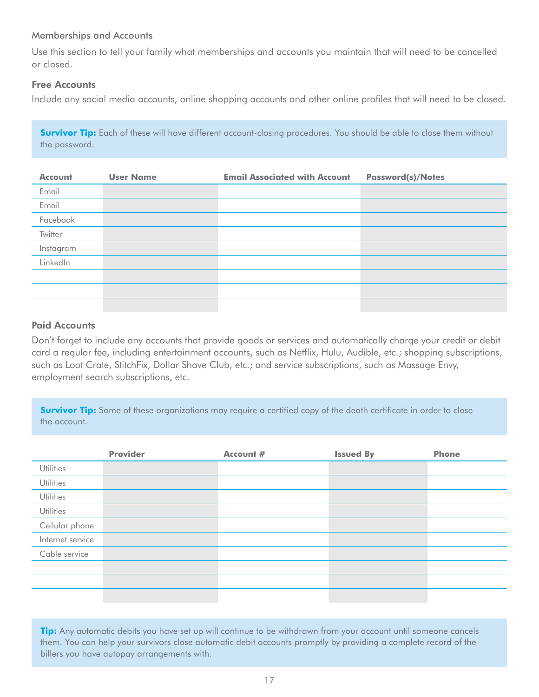#### Memberships and Accounts

Use this section to tell your family what memberships and accounts you maintain that will need to be cancelled or closed.

#### Free Accounts

Include any social media accounts, online shopping accounts and other online profiles that will need to be closed.

**Survivor Tip:** Each of these will have different account-closing procedures. You should be able to close them without the password.

| <b>Account</b> | <b>User Name</b> | <b>Email Associated with Account</b> | <b>Password(s)/Notes</b> |
|----------------|------------------|--------------------------------------|--------------------------|
| Email          |                  |                                      |                          |
| Email          |                  |                                      |                          |
| Facebook       |                  |                                      |                          |
| Twitter        |                  |                                      |                          |
| Instagram      |                  |                                      |                          |
| LinkedIn       |                  |                                      |                          |
|                |                  |                                      |                          |
|                |                  |                                      |                          |
|                |                  |                                      |                          |

#### Paid Accounts

Don't forget to include any accounts that provide goods or services and automatically charge your credit or debit card a regular fee, including entertainment accounts, such as Netflix, Hulu, Audible, etc.; shopping subscriptions, such as Loot Crate, StitchFix, Dollar Shave Club, etc.; and service subscriptions, such as Massage Envy, employment search subscriptions, etc.

**Survivor Tip:** Some of these organizations may require a certified copy of the death certificate in order to close the account.

|                  | <b>Provider</b> | Account # | <b>Issued By</b> | <b>Phone</b> |
|------------------|-----------------|-----------|------------------|--------------|
| <b>Utilities</b> |                 |           |                  |              |
| <b>Utilities</b> |                 |           |                  |              |
| <b>Utilities</b> |                 |           |                  |              |
| <b>Utilities</b> |                 |           |                  |              |
| Cellular phone   |                 |           |                  |              |
| Internet service |                 |           |                  |              |
| Cable service    |                 |           |                  |              |
|                  |                 |           |                  |              |
|                  |                 |           |                  |              |
|                  |                 |           |                  |              |

**Tip:** Any automatic debits you have set up will continue to be withdrawn from your account until someone cancels them. You can help your survivors close automatic debit accounts promptly by providing a complete record of the billers you have autopay arrangements with.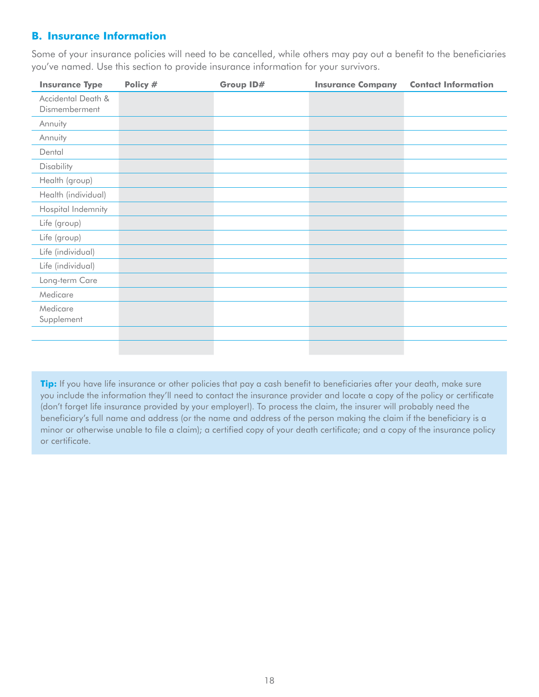## <span id="page-20-0"></span>**B. Insurance Information**

Some of your insurance policies will need to be cancelled, while others may pay out a benefit to the beneficiaries you've named. Use this section to provide insurance information for your survivors.

| <b>Insurance Type</b>               | Policy # | Group ID# | <b>Insurance Company</b> | <b>Contact Information</b> |
|-------------------------------------|----------|-----------|--------------------------|----------------------------|
| Accidental Death &<br>Dismemberment |          |           |                          |                            |
| Annuity                             |          |           |                          |                            |
| Annuity                             |          |           |                          |                            |
| Dental                              |          |           |                          |                            |
| Disability                          |          |           |                          |                            |
| Health (group)                      |          |           |                          |                            |
| Health (individual)                 |          |           |                          |                            |
| Hospital Indemnity                  |          |           |                          |                            |
| Life (group)                        |          |           |                          |                            |
| Life (group)                        |          |           |                          |                            |
| Life (individual)                   |          |           |                          |                            |
| Life (individual)                   |          |           |                          |                            |
| Long-term Care                      |          |           |                          |                            |
| Medicare                            |          |           |                          |                            |
| Medicare<br>Supplement              |          |           |                          |                            |
|                                     |          |           |                          |                            |
|                                     |          |           |                          |                            |

**Tip:** If you have life insurance or other policies that pay a cash benefit to beneficiaries after your death, make sure you include the information they'll need to contact the insurance provider and locate a copy of the policy or certificate (don't forget life insurance provided by your employer!). To process the claim, the insurer will probably need the beneficiary's full name and address (or the name and address of the person making the claim if the beneficiary is a minor or otherwise unable to file a claim); a certified copy of your death certificate; and a copy of the insurance policy or certificate.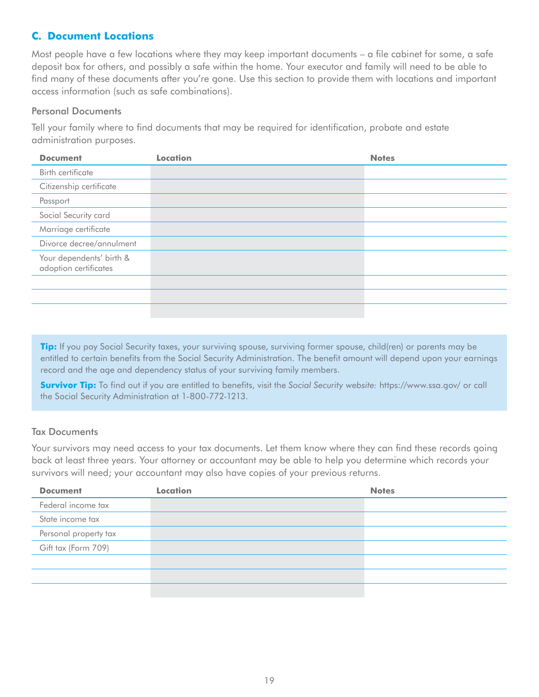## <span id="page-21-0"></span>**C. Document Locations**

Most people have a few locations where they may keep important documents – a file cabinet for some, a safe deposit box for others, and possibly a safe within the home. Your executor and family will need to be able to find many of these documents after you're gone. Use this section to provide them with locations and important access information (such as safe combinations).

#### Personal Documents

Tell your family where to find documents that may be required for identification, probate and estate administration purposes.

| <b>Document</b>                                   | <b>Location</b> | <b>Notes</b> |
|---------------------------------------------------|-----------------|--------------|
| Birth certificate                                 |                 |              |
| Citizenship certificate                           |                 |              |
| Passport                                          |                 |              |
| Social Security card                              |                 |              |
| Marriage certificate                              |                 |              |
| Divorce decree/annulment                          |                 |              |
| Your dependents' birth &<br>adoption certificates |                 |              |
|                                                   |                 |              |
|                                                   |                 |              |
|                                                   |                 |              |

**Tip:** If you pay Social Security taxes, your surviving spouse, surviving former spouse, child(ren) or parents may be entitled to certain benefits from the Social Security Administration. The benefit amount will depend upon your earnings record and the age and dependency status of your surviving family members.

**Survivor Tip:** To find out if you are entitled to benefits, visit the *Social Security website:* https://www.ssa.gov/ or call the Social Security Administration at 1-800-772-1213.

#### Tax Documents

Your survivors may need access to your tax documents. Let them know where they can find these records going back at least three years. Your attorney or accountant may be able to help you determine which records your survivors will need; your accountant may also have copies of your previous returns.

| <b>Document</b>       | <b>Location</b> | <b>Notes</b> |
|-----------------------|-----------------|--------------|
| Federal income tax    |                 |              |
| State income tax      |                 |              |
| Personal property tax |                 |              |
| Gift tax (Form 709)   |                 |              |
|                       |                 |              |
|                       |                 |              |
|                       |                 |              |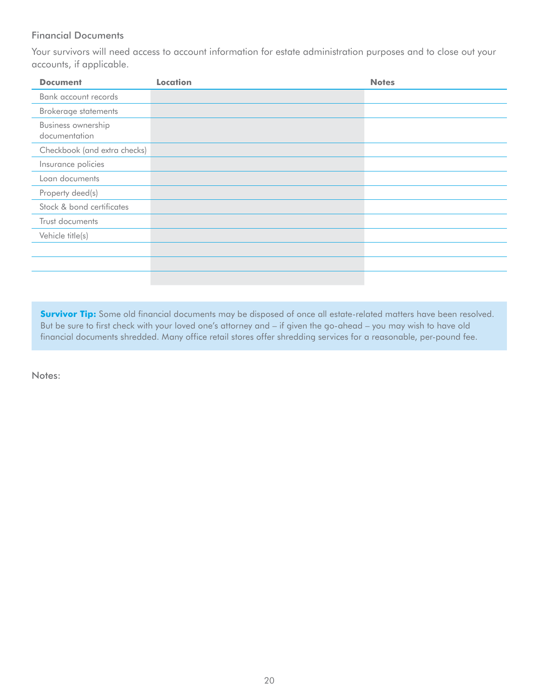#### Financial Documents

Your survivors will need access to account information for estate administration purposes and to close out your accounts, if applicable.

| <b>Document</b>                     | <b>Location</b> | <b>Notes</b> |
|-------------------------------------|-----------------|--------------|
| Bank account records                |                 |              |
| Brokerage statements                |                 |              |
| Business ownership<br>documentation |                 |              |
| Checkbook (and extra checks)        |                 |              |
| Insurance policies                  |                 |              |
| Loan documents                      |                 |              |
| Property deed(s)                    |                 |              |
| Stock & bond certificates           |                 |              |
| Trust documents                     |                 |              |
| Vehicle title(s)                    |                 |              |
|                                     |                 |              |
|                                     |                 |              |
|                                     |                 |              |

**Survivor Tip:** Some old financial documents may be disposed of once all estate-related matters have been resolved. But be sure to first check with your loved one's attorney and – if given the go-ahead – you may wish to have old financial documents shredded. Many office retail stores offer shredding services for a reasonable, per-pound fee.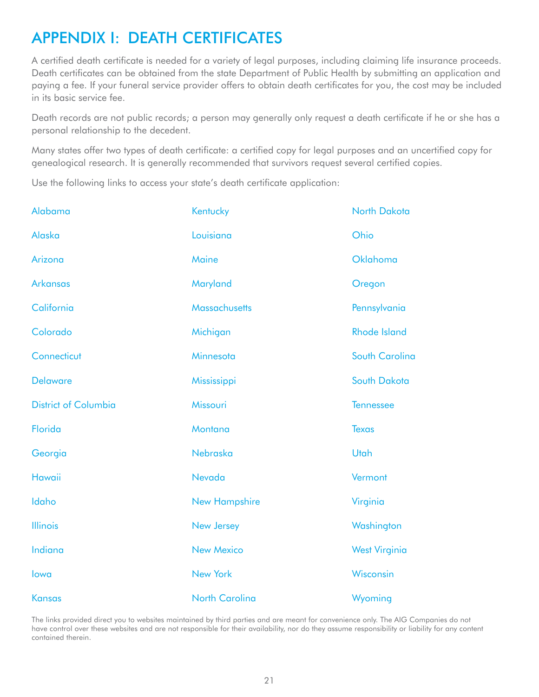## <span id="page-23-0"></span>APPENDIX I: DEATH CERTIFICATES

A certified death certificate is needed for a variety of legal purposes, including claiming life insurance proceeds. Death certificates can be obtained from the state Department of Public Health by submitting an application and paying a fee. If your funeral service provider offers to obtain death certificates for you, the cost may be included in its basic service fee.

Death records are not public records; a person may generally only request a death certificate if he or she has a personal relationship to the decedent.

Many states offer two types of death certificate: a certified copy for legal purposes and an uncertified copy for genealogical research. It is generally recommended that survivors request several certified copies.

Use the following links to access your state's death certificate application:

| Alabama                     | Kentucky              | North Dakota         |
|-----------------------------|-----------------------|----------------------|
| Alaska                      | Louisiana             | Ohio                 |
| Arizona                     | Maine                 | Oklahoma             |
| <b>Arkansas</b>             | Maryland              | Oregon               |
| California                  | <b>Massachusetts</b>  | Pennsylvania         |
| Colorado                    | Michigan              | <b>Rhode Island</b>  |
| Connecticut                 | Minnesota             | South Carolina       |
| <b>Delaware</b>             | Mississippi           | South Dakota         |
| <b>District of Columbia</b> | Missouri              | <b>Tennessee</b>     |
| Florida                     | Montana               | <b>Texas</b>         |
| Georgia                     | Nebraska              | Utah                 |
| <b>Hawaii</b>               | Nevada                | Vermont              |
| Idaho                       | <b>New Hampshire</b>  | Virginia             |
| <b>Illinois</b>             | New Jersey            | Washington           |
| Indiana                     | <b>New Mexico</b>     | <b>West Virginia</b> |
| lowa                        | <b>New York</b>       | Wisconsin            |
| <b>Kansas</b>               | <b>North Carolina</b> | Wyoming              |

The links provided direct you to websites maintained by third parties and are meant for convenience only. The AIG Companies do not have control over these websites and are not responsible for their availability, nor do they assume responsibility or liability for any content contained therein.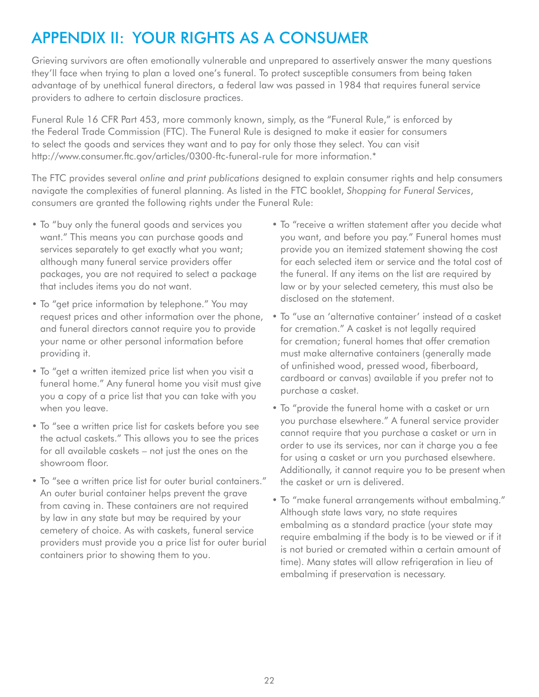## <span id="page-24-0"></span>APPENDIX II: YOUR RIGHTS AS A CONSUMER

Grieving survivors are often emotionally vulnerable and unprepared to assertively answer the many questions they'll face when trying to plan a loved one's funeral. To protect susceptible consumers from being taken advantage of by unethical funeral directors, a federal law was passed in 1984 that requires funeral service providers to adhere to certain disclosure practices.

Funeral Rule 16 CFR Part 453, more commonly known, simply, as the "Funeral Rule," is enforced by the Federal Trade Commission (FTC). The Funeral Rule is designed to make it easier for consumers to select the goods and services they want and to pay for only those they select. You can visit <http://www.consumer.ftc.gov/articles/0300-ftc-funeral-rule>for more information.\*

The FTC provides several *online and print publications* designed to explain consumer rights and help consumers navigate the complexities of funeral planning. As listed in the FTC booklet, *Shopping for Funeral Services*, consumers are granted the following rights under the Funeral Rule:

- To "buy only the funeral goods and services you want." This means you can purchase goods and services separately to get exactly what you want; although many funeral service providers offer packages, you are not required to select a package that includes items you do not want.
- To "get price information by telephone." You may request prices and other information over the phone, and funeral directors cannot require you to provide your name or other personal information before providing it.
- To "get a written itemized price list when you visit a funeral home." Any funeral home you visit must give you a copy of a price list that you can take with you when you leave.
- To "see a written price list for caskets before you see the actual caskets." This allows you to see the prices for all available caskets – not just the ones on the showroom floor.
- To "see a written price list for outer burial containers." An outer burial container helps prevent the grave from caving in. These containers are not required by law in any state but may be required by your cemetery of choice. As with caskets, funeral service providers must provide you a price list for outer burial containers prior to showing them to you.
- To "receive a written statement after you decide what you want, and before you pay." Funeral homes must provide you an itemized statement showing the cost for each selected item or service and the total cost of the funeral. If any items on the list are required by law or by your selected cemetery, this must also be disclosed on the statement.
- To "use an 'alternative container' instead of a casket for cremation." A casket is not legally required for cremation; funeral homes that offer cremation must make alternative containers (generally made of unfinished wood, pressed wood, fiberboard, cardboard or canvas) available if you prefer not to purchase a casket.
- To "provide the funeral home with a casket or urn you purchase elsewhere." A funeral service provider cannot require that you purchase a casket or urn in order to use its services, nor can it charge you a fee for using a casket or urn you purchased elsewhere. Additionally, it cannot require you to be present when the casket or urn is delivered.
- To "make funeral arrangements without embalming." Although state laws vary, no state requires embalming as a standard practice (your state may require embalming if the body is to be viewed or if it is not buried or cremated within a certain amount of time). Many states will allow refrigeration in lieu of embalming if preservation is necessary.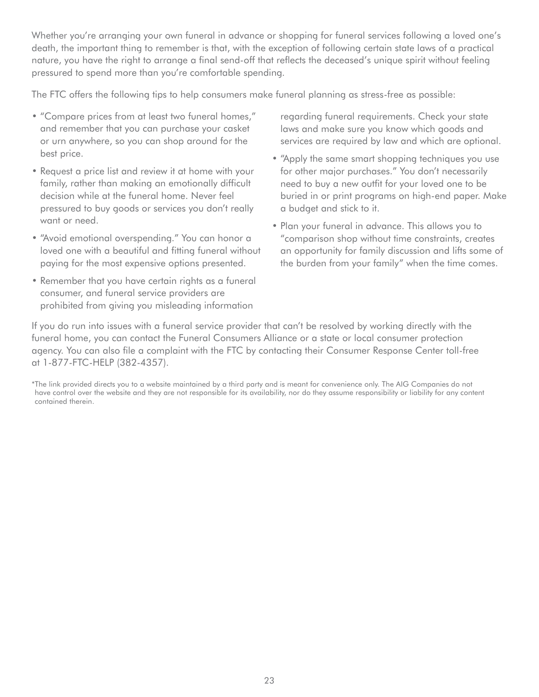Whether you're arranging your own funeral in advance or shopping for funeral services following a loved one's death, the important thing to remember is that, with the exception of following certain state laws of a practical nature, you have the right to arrange a final send-off that reflects the deceased's unique spirit without feeling pressured to spend more than you're comfortable spending.

The FTC offers the following tips to help consumers make funeral planning as stress-free as possible:

- "Compare prices from at least two funeral homes," and remember that you can purchase your casket or urn anywhere, so you can shop around for the best price.
- Request a price list and review it at home with your family, rather than making an emotionally difficult decision while at the funeral home. Never feel pressured to buy goods or services you don't really want or need.
- "Avoid emotional overspending." You can honor a loved one with a beautiful and fitting funeral without paying for the most expensive options presented.
- Remember that you have certain rights as a funeral consumer, and funeral service providers are prohibited from giving you misleading information

regarding funeral requirements. Check your state laws and make sure you know which goods and services are required by law and which are optional.

- "Apply the same smart shopping techniques you use for other major purchases." You don't necessarily need to buy a new outfit for your loved one to be buried in or print programs on high-end paper. Make a budget and stick to it.
- Plan your funeral in advance. This allows you to "comparison shop without time constraints, creates an opportunity for family discussion and lifts some of the burden from your family" when the time comes.

If you do run into issues with a funeral service provider that can't be resolved by working directly with the funeral home, you can contact the Funeral Consumers Alliance or a state or local consumer protection agency. You can also file a complaint with the FTC by contacting their Consumer Response Center toll-free at 1-877-FTC-HELP (382-4357).

\*The link provided directs you to a website maintained by a third party and is meant for convenience only. The AIG Companies do not have control over the website and they are not responsible for its availability, nor do they assume responsibility or liability for any content contained therein.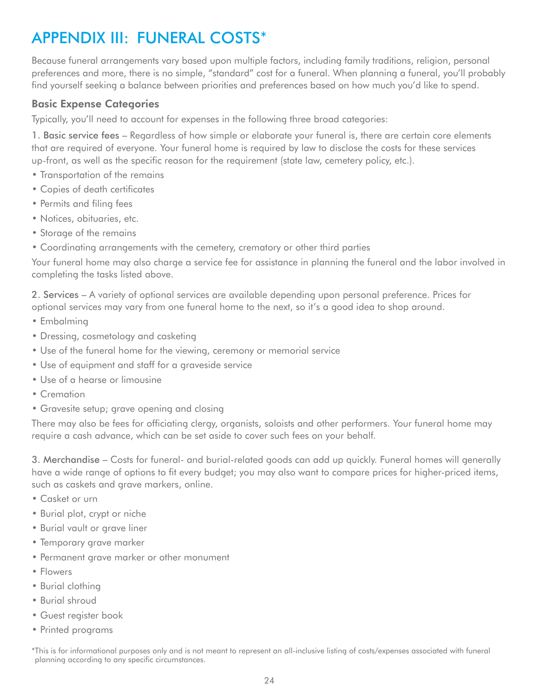## <span id="page-26-0"></span>APPENDIX III: FUNERAL COSTS\*

Because funeral arrangements vary based upon multiple factors, including family traditions, religion, personal preferences and more, there is no simple, "standard" cost for a funeral. When planning a funeral, you'll probably find yourself seeking a balance between priorities and preferences based on how much you'd like to spend.

### Basic Expense Categories

Typically, you'll need to account for expenses in the following three broad categories:

1. Basic service fees – Regardless of how simple or elaborate your funeral is, there are certain core elements that are required of everyone. Your funeral home is required by law to disclose the costs for these services up-front, as well as the specific reason for the requirement (state law, cemetery policy, etc.).

- Transportation of the remains
- Copies of death certificates
- Permits and filing fees
- Notices, obituaries, etc.
- Storage of the remains
- Coordinating arrangements with the cemetery, crematory or other third parties

Your funeral home may also charge a service fee for assistance in planning the funeral and the labor involved in completing the tasks listed above.

2. Services – A variety of optional services are available depending upon personal preference. Prices for optional services may vary from one funeral home to the next, so it's a good idea to shop around.

- Embalming
- Dressing, cosmetology and casketing
- Use of the funeral home for the viewing, ceremony or memorial service
- Use of equipment and staff for a graveside service
- Use of a hearse or limousine
- Cremation
- Gravesite setup; grave opening and closing

There may also be fees for officiating clergy, organists, soloists and other performers. Your funeral home may require a cash advance, which can be set aside to cover such fees on your behalf.

3. Merchandise – Costs for funeral- and burial-related goods can add up quickly. Funeral homes will generally have a wide range of options to fit every budget; you may also want to compare prices for higher-priced items, such as caskets and grave markers, online.

- Casket or urn
- Burial plot, crypt or niche
- Burial vault or grave liner
- Temporary grave marker
- Permanent grave marker or other monument
- Flowers
- Burial clothing
- Burial shroud
- Guest register book
- Printed programs

\*This is for informational purposes only and is not meant to represent an all-inclusive listing of costs/expenses associated with funeral planning according to any specific circumstances.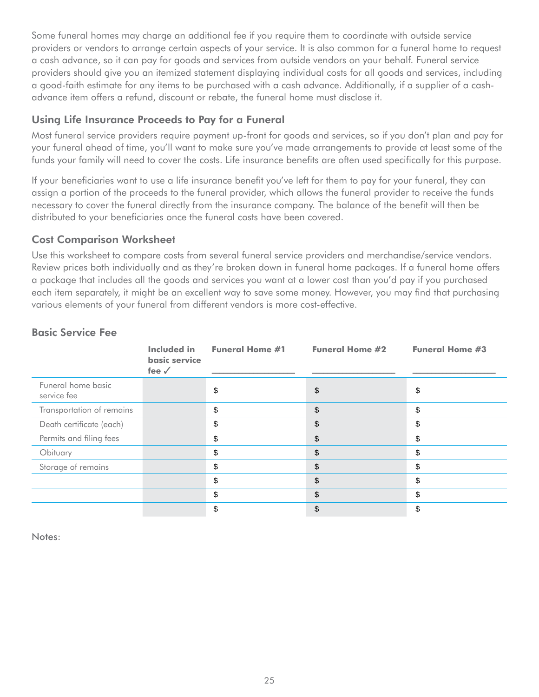<span id="page-27-0"></span>Some funeral homes may charge an additional fee if you require them to coordinate with outside service providers or vendors to arrange certain aspects of your service. It is also common for a funeral home to request a cash advance, so it can pay for goods and services from outside vendors on your behalf. Funeral service providers should give you an itemized statement displaying individual costs for all goods and services, including a good-faith estimate for any items to be purchased with a cash advance. Additionally, if a supplier of a cashadvance item offers a refund, discount or rebate, the funeral home must disclose it.

## Using Life Insurance Proceeds to Pay for a Funeral

Most funeral service providers require payment up-front for goods and services, so if you don't plan and pay for your funeral ahead of time, you'll want to make sure you've made arrangements to provide at least some of the funds your family will need to cover the costs. Life insurance benefits are often used specifically for this purpose.

If your beneficiaries want to use a life insurance benefit you've left for them to pay for your funeral, they can assign a portion of the proceeds to the funeral provider, which allows the funeral provider to receive the funds necessary to cover the funeral directly from the insurance company. The balance of the benefit will then be distributed to your beneficiaries once the funeral costs have been covered.

### Cost Comparison Worksheet

Use this worksheet to compare costs from several funeral service providers and merchandise/service vendors. Review prices both individually and as they're broken down in funeral home packages. If a funeral home offers a package that includes all the goods and services you want at a lower cost than you'd pay if you purchased each item separately, it might be an excellent way to save some money. However, you may find that purchasing various elements of your funeral from different vendors is more cost-effective.

|                                   | <b>Included</b> in<br>basic service<br>fee $\checkmark$ | <b>Funeral Home #1</b> | <b>Funeral Home #2</b> | <b>Funeral Home #3</b> |
|-----------------------------------|---------------------------------------------------------|------------------------|------------------------|------------------------|
| Funeral home basic<br>service fee |                                                         | Φ                      | \$                     | \$                     |
| Transportation of remains         |                                                         | \$                     | \$                     | \$                     |
| Death certificate (each)          |                                                         | \$                     | \$                     | \$                     |
| Permits and filing fees           |                                                         | S                      | \$                     | \$                     |
| Obituary                          |                                                         | \$                     | \$                     | \$                     |
| Storage of remains                |                                                         | \$                     | \$                     | \$                     |
|                                   |                                                         | \$                     | \$                     | \$                     |
|                                   |                                                         | \$                     | \$                     | \$                     |
|                                   |                                                         | \$                     | \$                     | \$                     |

## Basic Service Fee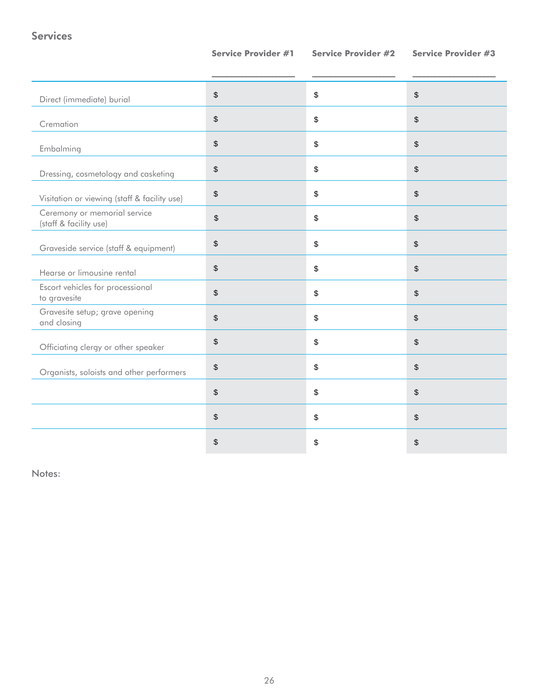Services

| Direct (immediate) burial                              | $\sqrt[6]{\frac{1}{2}}$     | \$<br>\$                                        |
|--------------------------------------------------------|-----------------------------|-------------------------------------------------|
| Cremation                                              | $\,$                        | \$<br>$\, \, \raisebox{12pt}{$\scriptstyle \$}$ |
| Embalming                                              | $\sqrt[6]{\frac{1}{2}}$     | \$<br>$\boldsymbol{\mathsf{S}}$                 |
| Dressing, cosmetology and casketing                    | $\frac{1}{2}$               | \$<br>\$                                        |
| Visitation or viewing (staff & facility use)           | $\,$                        | \$<br>$\frac{1}{2}$                             |
| Ceremony or memorial service<br>(staff & facility use) | $\boldsymbol{\hat{\theta}}$ | \$<br>\$                                        |
| Graveside service (staff & equipment)                  | $\,$                        | \$<br>\$                                        |
| Hearse or limousine rental                             | $\sqrt[6]{\frac{1}{2}}$     | \$<br>\$                                        |
| Escort vehicles for processional<br>to gravesite       | $\$\$                       | \$<br>$\frac{1}{2}$                             |
| Gravesite setup; grave opening<br>and closing          | $\sqrt[6]{\frac{1}{2}}$     | \$<br>\$                                        |
| Officiating clergy or other speaker                    | $\frac{1}{2}$               | \$<br>\$                                        |
| Organists, soloists and other performers               | $\boldsymbol{\$}$           | \$<br>$\boldsymbol{\mathsf{S}}$                 |
|                                                        | $\boldsymbol{\$}$           | \$<br>\$                                        |
|                                                        | $\frac{1}{2}$               | \$<br>\$                                        |
|                                                        | \$                          | \$<br>\$                                        |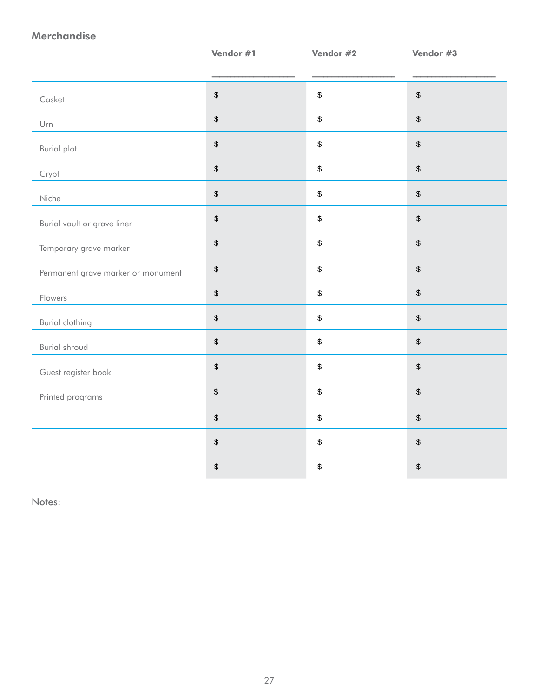## Merchandise

|                                    | Vendor #1                                 | Vendor #2                                 | Vendor #3                                 |
|------------------------------------|-------------------------------------------|-------------------------------------------|-------------------------------------------|
|                                    |                                           |                                           |                                           |
| Casket                             | $\,$                                      | \$                                        | $\, \, \raisebox{12pt}{$\scriptstyle \$}$ |
| Urn                                | $\, \, \raisebox{12pt}{$\scriptstyle \$}$ | \$                                        | $\, \, \raisebox{12pt}{$\scriptstyle \$}$ |
| <b>Burial plot</b>                 | $\, \, \raisebox{12pt}{$\scriptstyle \$}$ | $\, \, \raisebox{12pt}{$\scriptstyle \$}$ | $\, \, \raisebox{12pt}{$\scriptstyle \$}$ |
| Crypt                              | $\,$                                      | $\sqrt[6]{\frac{1}{2}}$                   | $\,$                                      |
| Niche                              | $\,$                                      | \$                                        | $\, \, \raisebox{12pt}{$\scriptstyle \$}$ |
| Burial vault or grave liner        | $\,$                                      | \$                                        | $\, \, \raisebox{12pt}{$\scriptstyle \$}$ |
| Temporary grave marker             | $\, \, \raisebox{12pt}{$\scriptstyle \$}$ | \$                                        | $\, \, \raisebox{12pt}{$\scriptstyle \$}$ |
| Permanent grave marker or monument | $\, \, \raisebox{12pt}{$\scriptstyle \$}$ | \$                                        | $\, \, \raisebox{12pt}{$\scriptstyle \$}$ |
| Flowers                            | $\,$                                      | $\,$                                      | $\, \, \raisebox{12pt}{$\scriptstyle \$}$ |
| <b>Burial clothing</b>             | $\,$                                      | $\,$                                      | $\,$                                      |
| <b>Burial shroud</b>               | $\,$                                      | \$                                        | $\, \, \raisebox{12pt}{$\scriptstyle \$}$ |
| Guest register book                | $\, \, \raisebox{12pt}{$\scriptstyle \$}$ | $\, \, \raisebox{12pt}{$\scriptstyle \$}$ | $\, \, \mathbb{S} \,$                     |
| Printed programs                   | $$\mathbb{S}$$                            | \$                                        | $\,$                                      |
|                                    | $\,$                                      | \$                                        | $\,$                                      |
|                                    | $\,$                                      | $\,$                                      | $\,$                                      |
|                                    | $\, \, \raisebox{12pt}{$\scriptstyle \$}$ | $\,$                                      | \$                                        |